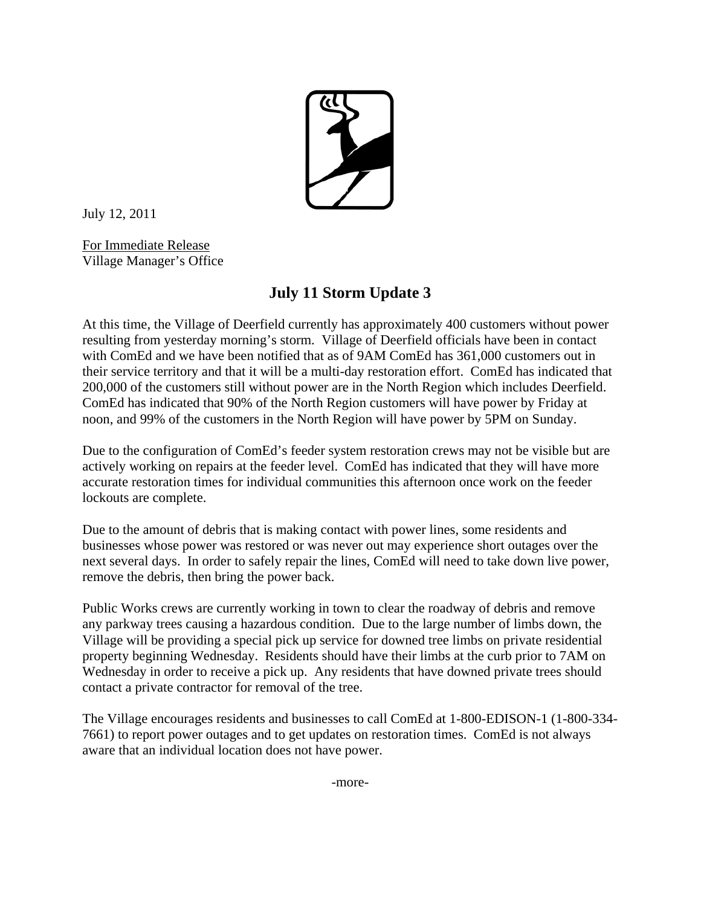

July 12, 2011

For Immediate Release Village Manager's Office

## **July 11 Storm Update 3**

At this time, the Village of Deerfield currently has approximately 400 customers without power resulting from yesterday morning's storm. Village of Deerfield officials have been in contact with ComEd and we have been notified that as of 9AM ComEd has 361,000 customers out in their service territory and that it will be a multi-day restoration effort. ComEd has indicated that 200,000 of the customers still without power are in the North Region which includes Deerfield. ComEd has indicated that 90% of the North Region customers will have power by Friday at noon, and 99% of the customers in the North Region will have power by 5PM on Sunday.

Due to the configuration of ComEd's feeder system restoration crews may not be visible but are actively working on repairs at the feeder level. ComEd has indicated that they will have more accurate restoration times for individual communities this afternoon once work on the feeder lockouts are complete.

Due to the amount of debris that is making contact with power lines, some residents and businesses whose power was restored or was never out may experience short outages over the next several days. In order to safely repair the lines, ComEd will need to take down live power, remove the debris, then bring the power back.

Public Works crews are currently working in town to clear the roadway of debris and remove any parkway trees causing a hazardous condition. Due to the large number of limbs down, the Village will be providing a special pick up service for downed tree limbs on private residential property beginning Wednesday. Residents should have their limbs at the curb prior to 7AM on Wednesday in order to receive a pick up. Any residents that have downed private trees should contact a private contractor for removal of the tree.

The Village encourages residents and businesses to call ComEd at 1-800-EDISON-1 (1-800-334- 7661) to report power outages and to get updates on restoration times. ComEd is not always aware that an individual location does not have power.

-more-